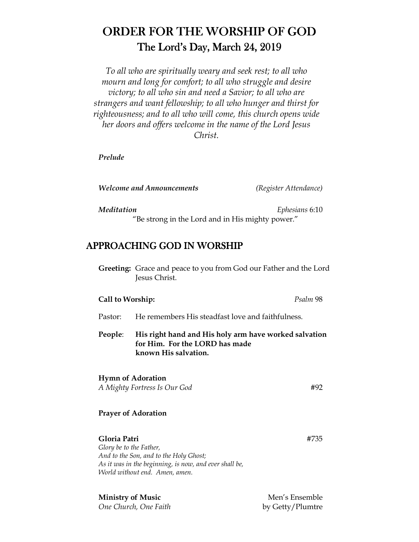# ORDER FOR THE WORSHIP OF GOD The Lord's Day, March 24, 2019

*To all who are spiritually weary and seek rest; to all who mourn and long for comfort; to all who struggle and desire victory; to all who sin and need a Savior; to all who are strangers and want fellowship; to all who hunger and thirst for righteousness; and to all who will come, this church opens wide her doors and offers welcome in the name of the Lord Jesus Christ.* 

*Prelude* 

*Welcome and Announcements (Register Attendance)* 

*Meditation Ephesians* 6:10

"Be strong in the Lord and in His mighty power."

## APPROACHING GOD IN WORSHIP

 **Greeting:** Grace and peace to you from God our Father and the Lord Jesus Christ.

### **Call to Worship:** *Psalm* 98

- Pastor: He remembers His steadfast love and faithfulness.
- **People**: **His right hand and His holy arm have worked salvation for Him. For the LORD has made known His salvation.**

### **Hymn of Adoration**

*A Mighty Fortress Is Our God* #92

### **Prayer of Adoration**

**Gloria Patri** #735 *Glory be to the Father, And to the Son, and to the Holy Ghost; As it was in the beginning, is now, and ever shall be, World without end. Amen, amen.* 

**Ministry of Music** Men's Ensemble *One Church, One Faith* by Getty/Plumtre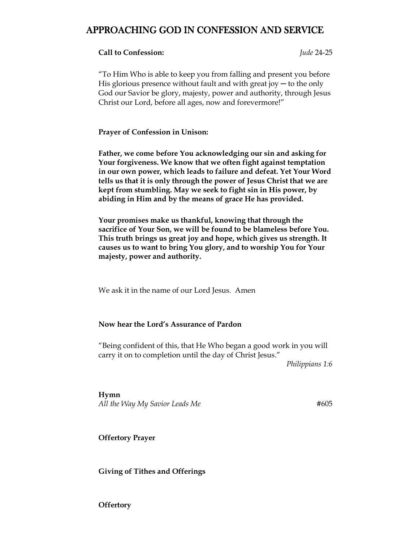## APPROACHING GOD IN CONFESSION AND SERVICE

#### **Call to Confession:** *Jude* 24-25

"To Him Who is able to keep you from falling and present you before His glorious presence without fault and with great joy  $-$  to the only God our Savior be glory, majesty, power and authority, through Jesus Christ our Lord, before all ages, now and forevermore!"

**Prayer of Confession in Unison:** 

**Father, we come before You acknowledging our sin and asking for Your forgiveness. We know that we often fight against temptation in our own power, which leads to failure and defeat. Yet Your Word tells us that it is only through the power of Jesus Christ that we are kept from stumbling. May we seek to fight sin in His power, by abiding in Him and by the means of grace He has provided.** 

**Your promises make us thankful, knowing that through the sacrifice of Your Son, we will be found to be blameless before You. This truth brings us great joy and hope, which gives us strength. It causes us to want to bring You glory, and to worship You for Your majesty, power and authority.** 

We ask it in the name of our Lord Jesus. Amen

#### **Now hear the Lord's Assurance of Pardon**

"Being confident of this, that He Who began a good work in you will carry it on to completion until the day of Christ Jesus."

*Philippians 1:6*

**Hymn**  All the Way My Savior Leads Me **#605** 

**Offertory Prayer** 

**Giving of Tithes and Offerings** 

**Offertory**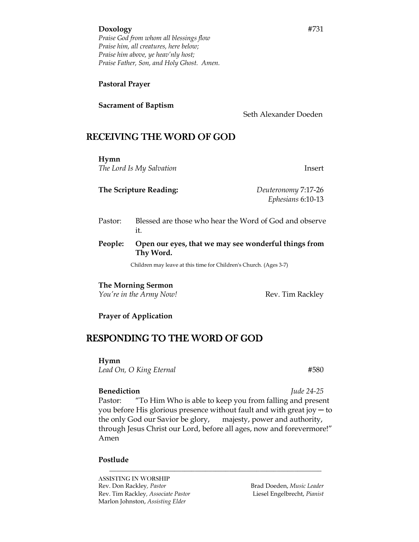#### **Doxology** #731

*Praise God from whom all blessings flow Praise him, all creatures, here below; Praise him above, ye heav'nly host; Praise Father, Son, and Holy Ghost. Amen.* 

#### **Pastoral Prayer**

#### **Sacrament of Baptism**

Seth Alexander Doeden

## RECEIVING THE WORD OF GOD

**Hymn**  *The Lord Is My Salvation* Insert

**The Scripture Reading:** *Deuteronomy* 7:17-26 *Ephesians* 6:10-13

- Pastor: Blessed are those who hear the Word of God and observe it.
- **People: Open our eyes, that we may see wonderful things from Thy Word.**

Children may leave at this time for Children's Church. (Ages 3-7)

#### **The Morning Sermon**

*You're in the Army Now!* **Rev. Tim Rackley** 

#### **Prayer of Application**

## RESPONDING TO THE WORD OF GOD

**Hymn**

*Lead On, O King Eternal* #580

**Benediction** *Jude 24-25*  Pastor: "To Him Who is able to keep you from falling and present you before His glorious presence without fault and with great joy  $-$  to the only God our Savior be glory, majesty, power and authority, through Jesus Christ our Lord, before all ages, now and forevermore!"

*\_\_\_\_\_\_\_\_\_\_\_\_\_\_\_\_\_\_\_\_\_\_\_\_\_\_\_\_\_\_\_\_\_\_\_\_\_\_\_\_\_\_\_\_\_\_\_\_\_\_\_\_\_\_\_\_\_\_\_\_\_\_*

Amen

#### **Postlude**

ASSISTING IN WORSHIP Rev. Don Rackley, Pastor **Brad Doeden**, *Music Leader* **Brad Doeden**, *Music Leader* Rev. Tim Rackley*, Associate Pastor* Liesel Engelbrecht, *Pianist*  Marlon Johnston, *Assisting Elder*